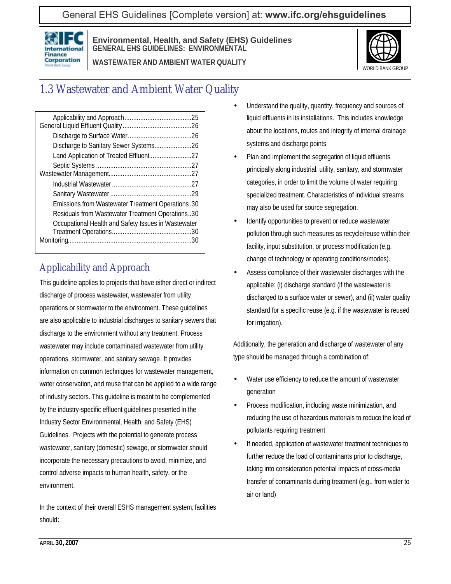General EHS Guidelines [Complete version] at: **[www.ifc.org/ehsguidelines](http://www.ifc.org/ehsguidelines)**



**Environmental, Health, and Safety (EHS) Guidelines GENERAL EHS GUIDELINES: ENVIRONMENTAL**

**WASTEWATER AND AMBIENT WATER QUALITY**



# 1.3 Wastewater and Ambient Water Quality

| Discharge to Sanitary Sewer Systems26               |
|-----------------------------------------------------|
| Land Application of Treated Effluent27              |
|                                                     |
|                                                     |
|                                                     |
|                                                     |
| Emissions from Wastewater Treatment Operations.30   |
| Residuals from Wastewater Treatment Operations30    |
| Occupational Health and Safety Issues in Wastewater |
|                                                     |
|                                                     |
|                                                     |

# Applicability and Approach

This guideline applies to projects that have either direct or indirect discharge of process wastewater, wastewater from utility operations or stormwater to the environment. These guidelines are also applicable to industrial discharges to sanitary sewers that discharge to the environment without any treatment. Process wastewater may include contaminated wastewater from utility operations, stormwater, and sanitary sewage. It provides information on common techniques for wastewater management, water conservation, and reuse that can be applied to a wide range of industry sectors. This guideline is meant to be complemented by the industry-specific effluent guidelines presented in the Industry Sector Environmental, Health, and Safety (EHS) Guidelines. Projects with the potential to generate process wastewater, sanitary (domestic) sewage, or stormwater should incorporate the necessary precautions to avoid, minimize, and control adverse impacts to human health, safety, or the environment.

In the context of their overall ESHS management system, facilities should:

- Understand the quality, quantity, frequency and sources of liquid effluents in its installations. This includes knowledge about the locations, routes and integrity of internal drainage systems and discharge points
- Plan and implement the segregation of liquid effluents principally along industrial, utility, sanitary, and stormwater categories, in order to limit the volume of water requiring specialized treatment. Characteristics of individual streams may also be used for source segregation.
- Identify opportunities to prevent or reduce wastewater pollution through such measures as recycle/reuse within their facility, input substitution, or process modification (e.g. change of technology or operating conditions/modes).
- Assess compliance of their wastewater discharges with the applicable: (i) discharge standard (if the wastewater is discharged to a surface water or sewer), and (ii) water quality standard for a specific reuse (e.g. if the wastewater is reused for irrigation).

Additionally, the generation and discharge of wastewater of any type should be managed through a combination of:

- Water use efficiency to reduce the amount of wastewater generation
- Process modification, including waste minimization, and reducing the use of hazardous materials to reduce the load of pollutants requiring treatment
- If needed, application of wastewater treatment techniques to further reduce the load of contaminants prior to discharge, taking into consideration potential impacts of cross-media transfer of contaminants during treatment (e.g., from water to air or land)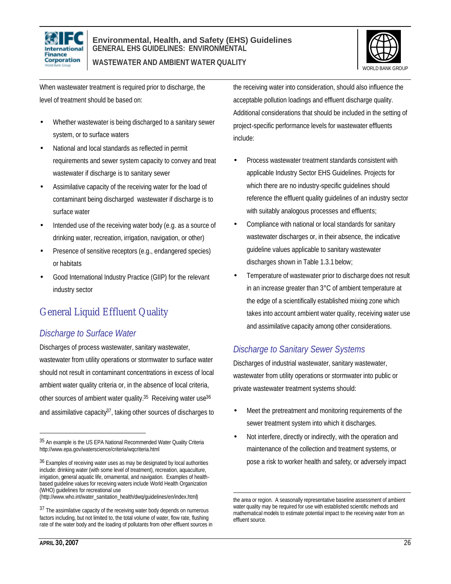



When wastewater treatment is required prior to discharge, the level of treatment should be based on:

- Whether wastewater is being discharged to a sanitary sewer system, or to surface waters
- National and local standards as reflected in permit requirements and sewer system capacity to convey and treat wastewater if discharge is to sanitary sewer
- Assimilative capacity of the receiving water for the load of contaminant being discharged wastewater if discharge is to surface water
- Intended use of the receiving water body (e.g. as a source of drinking water, recreation, irrigation, navigation, or other)
- Presence of sensitive receptors (e.g., endangered species) or habitats
- Good International Industry Practice (GIIP) for the relevant industry sector

# General Liquid Effluent Quality

#### *Discharge to Surface Water*

Discharges of process wastewater, sanitary wastewater, wastewater from utility operations or stormwater to surface water should not result in contaminant concentrations in excess of local ambient water quality criteria or, in the absence of local criteria, other sources of ambient water quality.<sup>35</sup> Receiving water use<sup>36</sup> and assimilative capacity $37$ , taking other sources of discharges to

(http://www.who.int/water\_sanitation\_health/dwq/guidelines/en/index.html)

the receiving water into consideration, should also influence the acceptable pollution loadings and effluent discharge quality. Additional considerations that should be included in the setting of project-specific performance levels for wastewater effluents include:

- Process wastewater treatment standards consistent with applicable Industry Sector EHS Guidelines. Projects for which there are no industry-specific guidelines should reference the effluent quality guidelines of an industry sector with suitably analogous processes and effluents;
- Compliance with national or local standards for sanitary wastewater discharges or, in their absence, the indicative guideline values applicable to sanitary wastewater discharges shown in Table 1.3.1 below;
- Temperature of wastewater prior to discharge does not result in an increase greater than 3°C of ambient temperature at the edge of a scientifically established mixing zone which takes into account ambient water quality, receiving water use and assimilative capacity among other considerations.

### *Discharge to Sanitary Sewer Systems*

Discharges of industrial wastewater, sanitary wastewater, wastewater from utility operations or stormwater into public or private wastewater treatment systems should:

- Meet the pretreatment and monitoring requirements of the sewer treatment system into which it discharges.
- Not interfere, directly or indirectly, with the operation and maintenance of the collection and treatment systems, or pose a risk to worker health and safety, or adversely impact

 $\overline{a}$ 

<sup>35</sup> An example is the US EPA National Recommended Water Quality Criteria http://www.epa.gov/waterscience/criteria/wqcriteria.html

<sup>&</sup>lt;sup>36</sup> Examples of receiving water uses as may be designated by local authorities include: drinking water (with some level of treatment), recreation, aquaculture, irrigation, general aquatic life, ornamental, and navigation. Examples of healthbased guideline values for receiving waters include World Health Organization (WHO) guidelines for recreational use

<sup>37</sup> The assimilative capacity of the receiving water body depends on numerous factors including, but not limited to, the total volume of water, flow rate, flushing rate of the water body and the loading of pollutants from other effluent sources in

<sup>1</sup> the area or region. A seasonally representative baseline assessment of ambient water quality may be required for use with established scientific methods and mathematical models to estimate potential impact to the receiving water from an effluent source.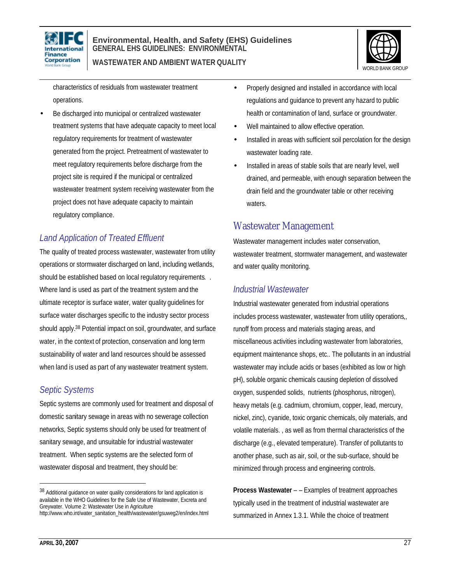

#### **Environmental, Health, and Safety (EHS) Guidelines GENERAL EHS GUIDELINES: ENVIRONMENTAL WASTEWATER AND AMBIENT WATER QUALITY**



characteristics of residuals from wastewater treatment operations.

Be discharged into municipal or centralized wastewater treatment systems that have adequate capacity to meet local regulatory requirements for treatment of wastewater generated from the project. Pretreatment of wastewater to meet regulatory requirements before discharge from the project site is required if the municipal or centralized wastewater treatment system receiving wastewater from the project does not have adequate capacity to maintain regulatory compliance.

#### *Land Application of Treated Effluent*

The quality of treated process wastewater, wastewater from utility operations or stormwater discharged on land, including wetlands, should be established based on local regulatory requirements. . Where land is used as part of the treatment system and the ultimate receptor is surface water, water quality guidelines for surface water discharges specific to the industry sector process should apply.38 Potential impact on soil, groundwater, and surface water, in the context of protection, conservation and long term sustainability of water and land resources should be assessed when land is used as part of any wastewater treatment system.

#### *Septic Systems*

Septic systems are commonly used for treatment and disposal of domestic sanitary sewage in areas with no sewerage collection networks, Septic systems should only be used for treatment of sanitary sewage, and unsuitable for industrial wastewater treatment. When septic systems are the selected form of wastewater disposal and treatment, they should be:

- Properly designed and installed in accordance with local regulations and guidance to prevent any hazard to public health or contamination of land, surface or groundwater.
- Well maintained to allow effective operation.
- Installed in areas with sufficient soil percolation for the design wastewater loading rate.
- Installed in areas of stable soils that are nearly level, well drained, and permeable, with enough separation between the drain field and the groundwater table or other receiving waters.

#### Wastewater Management

Wastewater management includes water conservation, wastewater treatment, stormwater management, and wastewater and water quality monitoring.

#### *Industrial Wastewater*

Industrial wastewater generated from industrial operations includes process wastewater, wastewater from utility operations,, runoff from process and materials staging areas, and miscellaneous activities including wastewater from laboratories, equipment maintenance shops, etc.. The pollutants in an industrial wastewater may include acids or bases (exhibited as low or high pH), soluble organic chemicals causing depletion of dissolved oxygen, suspended solids, nutrients (phosphorus, nitrogen), heavy metals (e.g. cadmium, chromium, copper, lead, mercury, nickel, zinc), cyanide, toxic organic chemicals, oily materials, and volatile materials. , as well as from thermal characteristics of the discharge (e.g., elevated temperature). Transfer of pollutants to another phase, such as air, soil, or the sub-surface, should be minimized through process and engineering controls.

**Process Wastewater** – – Examples of treatment approaches typically used in the treatment of industrial wastewater are summarized in Annex 1.3.1. While the choice of treatment

 $\overline{a}$ 

<sup>38</sup> Additional guidance on water quality considerations for land application is available in the WHO Guidelines for the Safe Use of Wastewater, Excreta and Greywater. Volume 2: Wastewater Use in Agriculture http://www.who.int/water\_sanitation\_health/wastewater/gsuweg2/en/index.html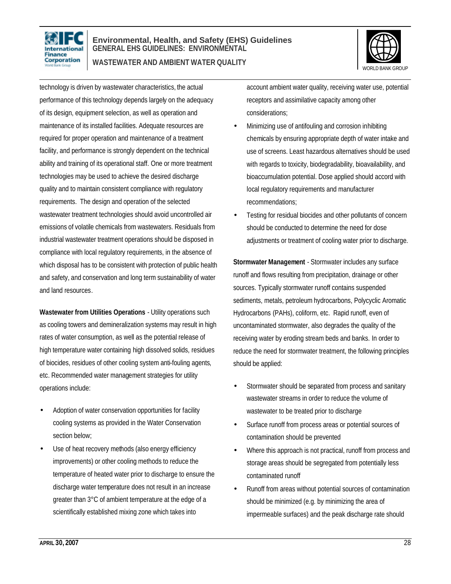

#### **Environmental, Health, and Safety (EHS) Guidelines GENERAL EHS GUIDELINES: ENVIRONMENTAL WASTEWATER AND AMBIENT WATER QUALITY**



technology is driven by wastewater characteristics, the actual performance of this technology depends largely on the adequacy of its design, equipment selection, as well as operation and maintenance of its installed facilities. Adequate resources are required for proper operation and maintenance of a treatment facility, and performance is strongly dependent on the technical ability and training of its operational staff. One or more treatment technologies may be used to achieve the desired discharge quality and to maintain consistent compliance with regulatory requirements. The design and operation of the selected wastewater treatment technologies should avoid uncontrolled air emissions of volatile chemicals from wastewaters. Residuals from industrial wastewater treatment operations should be disposed in compliance with local regulatory requirements, in the absence of which disposal has to be consistent with protection of public health and safety, and conservation and long term sustainability of water and land resources.

**Wastewater from Utilities Operations** - Utility operations such as cooling towers and demineralization systems may result in high rates of water consumption, as well as the potential release of high temperature water containing high dissolved solids, residues of biocides, residues of other cooling system anti-fouling agents, etc. Recommended water management strategies for utility operations include:

- Adoption of water conservation opportunities for facility cooling systems as provided in the Water Conservation section below;
- Use of heat recovery methods (also energy efficiency improvements) or other cooling methods to reduce the temperature of heated water prior to discharge to ensure the discharge water temperature does not result in an increase greater than 3°C of ambient temperature at the edge of a scientifically established mixing zone which takes into

account ambient water quality, receiving water use, potential receptors and assimilative capacity among other considerations;

- Minimizing use of antifouling and corrosion inhibiting chemicals by ensuring appropriate depth of water intake and use of screens. Least hazardous alternatives should be used with regards to toxicity, biodegradability, bioavailability, and bioaccumulation potential. Dose applied should accord with local regulatory requirements and manufacturer recommendations;
- Testing for residual biocides and other pollutants of concern should be conducted to determine the need for dose adjustments or treatment of cooling water prior to discharge.

**Stormwater Management** - Stormwater includes any surface runoff and flows resulting from precipitation, drainage or other sources. Typically stormwater runoff contains suspended sediments, metals, petroleum hydrocarbons, Polycyclic Aromatic Hydrocarbons (PAHs), coliform, etc. Rapid runoff, even of uncontaminated stormwater, also degrades the quality of the receiving water by eroding stream beds and banks. In order to reduce the need for stormwater treatment, the following principles should be applied:

- Stormwater should be separated from process and sanitary wastewater streams in order to reduce the volume of wastewater to be treated prior to discharge
- Surface runoff from process areas or potential sources of contamination should be prevented
- Where this approach is not practical, runoff from process and storage areas should be segregated from potentially less contaminated runoff
- Runoff from areas without potential sources of contamination should be minimized (e.g. by minimizing the area of impermeable surfaces) and the peak discharge rate should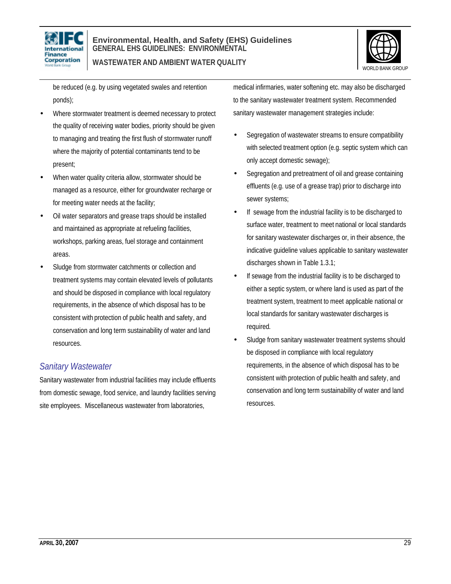



be reduced (e.g. by using vegetated swales and retention ponds);

- Where stormwater treatment is deemed necessary to protect the quality of receiving water bodies, priority should be given to managing and treating the first flush of stormwater runoff where the majority of potential contaminants tend to be present;
- When water quality criteria allow, stormwater should be managed as a resource, either for groundwater recharge or for meeting water needs at the facility;
- Oil water separators and grease traps should be installed and maintained as appropriate at refueling facilities, workshops, parking areas, fuel storage and containment areas.
- Sludge from stormwater catchments or collection and treatment systems may contain elevated levels of pollutants and should be disposed in compliance with local regulatory requirements, in the absence of which disposal has to be consistent with protection of public health and safety, and conservation and long term sustainability of water and land resources.

#### *Sanitary Wastewater*

Sanitary wastewater from industrial facilities may include effluents from domestic sewage, food service, and laundry facilities serving site employees. Miscellaneous wastewater from laboratories,

medical infirmaries, water softening etc. may also be discharged to the sanitary wastewater treatment system. Recommended sanitary wastewater management strategies include:

- Segregation of wastewater streams to ensure compatibility with selected treatment option (e.g. septic system which can only accept domestic sewage);
- Segregation and pretreatment of oil and grease containing effluents (e.g. use of a grease trap) prior to discharge into sewer systems;
- If sewage from the industrial facility is to be discharged to surface water, treatment to meet national or local standards for sanitary wastewater discharges or, in their absence, the indicative guideline values applicable to sanitary wastewater discharges shown in Table 1.3.1;
- If sewage from the industrial facility is to be discharged to either a septic system, or where land is used as part of the treatment system, treatment to meet applicable national or local standards for sanitary wastewater discharges is required.
- Sludge from sanitary wastewater treatment systems should be disposed in compliance with local regulatory requirements, in the absence of which disposal has to be consistent with protection of public health and safety, and conservation and long term sustainability of water and land resources.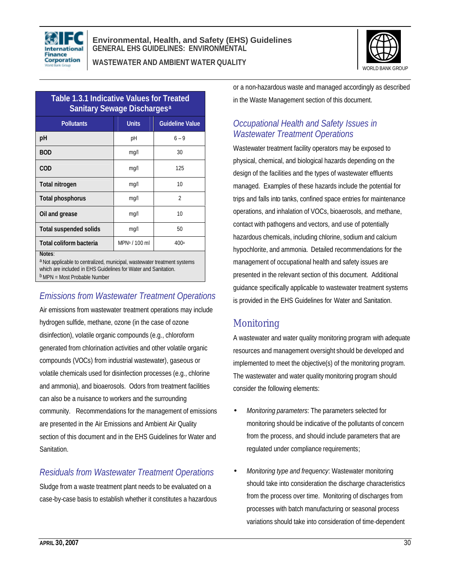

**WASTEWATER AND AMBIENT WATER QUALITY**



| <b>Table 1.3.1 Indicative Values for Treated</b><br><b>Sanitary Sewage Discharges<sup>a</sup></b> |                           |                        |  |
|---------------------------------------------------------------------------------------------------|---------------------------|------------------------|--|
| <b>Pollutants</b>                                                                                 | <b>Units</b>              | <b>Guideline Value</b> |  |
| рH                                                                                                | рH                        | $6 - 9$                |  |
| <b>BOD</b>                                                                                        | mq/l                      | 30                     |  |
| <b>COD</b>                                                                                        | mq/l                      | 125                    |  |
| Total nitrogen                                                                                    | mg/l                      | 10                     |  |
| <b>Total phosphorus</b>                                                                           | mq/l                      | $\overline{2}$         |  |
| Oil and grease                                                                                    | mq/l                      | 10                     |  |
| <b>Total suspended solids</b>                                                                     | mq/l                      | 50                     |  |
| Total coliform bacteria                                                                           | MPN <sup>b</sup> / 100 ml | 400 <sup>a</sup>       |  |
| Notes:<br><sup>a</sup> Not applicable to centralized, municipal, wastewater treatment systems     |                           |                        |  |

which are included in EHS Guidelines for Water and Sanitation. bMPN = Most Probable Number

### *Emissions from Wastewater Treatment Operations*

Air emissions from wastewater treatment operations may include hydrogen sulfide, methane, ozone (in the case of ozone disinfection), volatile organic compounds (e.g., chloroform generated from chlorination activities and other volatile organic compounds (VOCs) from industrial wastewater), gaseous or volatile chemicals used for disinfection processes (e.g., chlorine and ammonia), and bioaerosols. Odors from treatment facilities can also be a nuisance to workers and the surrounding community. Recommendations for the management of emissions are presented in the Air Emissions and Ambient Air Quality section of this document and in the EHS Guidelines for Water and Sanitation.

#### *Residuals from Wastewater Treatment Operations*

Sludge from a waste treatment plant needs to be evaluated on a case-by-case basis to establish whether it constitutes a hazardous or a non-hazardous waste and managed accordingly as described in the Waste Management section of this document.

### *Occupational Health and Safety Issues in Wastewater Treatment Operations*

Wastewater treatment facility operators may be exposed to physical, chemical, and biological hazards depending on the design of the facilities and the types of wastewater effluents managed. Examples of these hazards include the potential for trips and falls into tanks, confined space entries for maintenance operations, and inhalation of VOCs, bioaerosols, and methane, contact with pathogens and vectors, and use of potentially hazardous chemicals, including chlorine, sodium and calcium hypochlorite, and ammonia. Detailed recommendations for the management of occupational health and safety issues are presented in the relevant section of this document. Additional guidance specifically applicable to wastewater treatment systems is provided in the EHS Guidelines for Water and Sanitation.

### Monitoring

A wastewater and water quality monitoring program with adequate resources and management oversight should be developed and implemented to meet the objective(s) of the monitoring program. The wastewater and water quality monitoring program should consider the following elements:

- *Monitoring parameters*: The parameters selected for monitoring should be indicative of the pollutants of concern from the process, and should include parameters that are regulated under compliance requirements;
- *Monitoring type and frequency*: Wastewater monitoring should take into consideration the discharge characteristics from the process over time. Monitoring of discharges from processes with batch manufacturing or seasonal process variations should take into consideration of time-dependent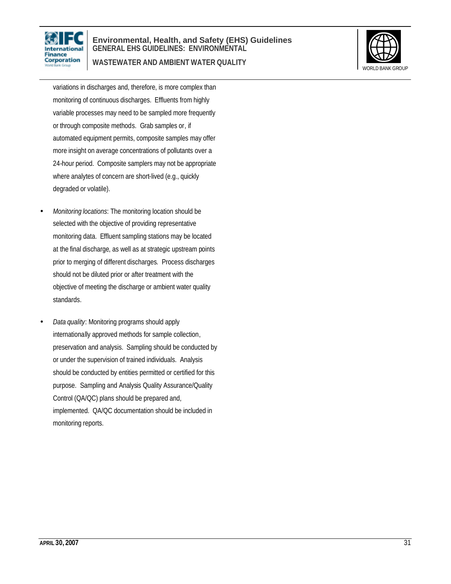

#### **Environmental, Health, and Safety (EHS) Guidelines GENERAL EHS GUIDELINES: ENVIRONMENTAL WASTEWATER AND AMBIENT WATER QUALITY**



variations in discharges and, therefore, is more complex than monitoring of continuous discharges. Effluents from highly variable processes may need to be sampled more frequently or through composite methods. Grab samples or, if automated equipment permits, composite samples may offer more insight on average concentrations of pollutants over a 24-hour period. Composite samplers may not be appropriate where analytes of concern are short-lived (e.g., quickly degraded or volatile).

- *Monitoring locations*: The monitoring location should be selected with the objective of providing representative monitoring data. Effluent sampling stations may be located at the final discharge, as well as at strategic upstream points prior to merging of different discharges. Process discharges should not be diluted prior or after treatment with the objective of meeting the discharge or ambient water quality standards.
- *Data quality*: Monitoring programs should apply internationally approved methods for sample collection, preservation and analysis. Sampling should be conducted by or under the supervision of trained individuals. Analysis should be conducted by entities permitted or certified for this purpose. Sampling and Analysis Quality Assurance/Quality Control (QA/QC) plans should be prepared and, implemented. QA/QC documentation should be included in monitoring reports.